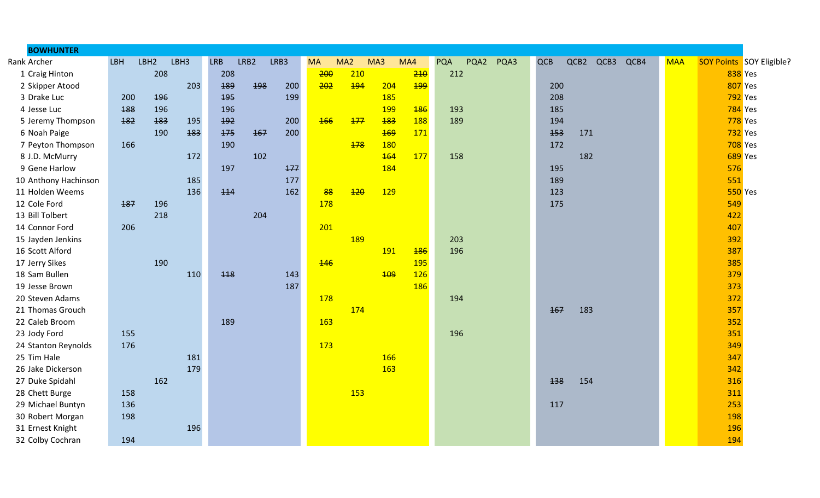| <b>BOWHUNTER</b>     |     |                  |      |            |            |      |            |     |            |            |            |      |      |     |      |      |      |            |                |                          |
|----------------------|-----|------------------|------|------------|------------|------|------------|-----|------------|------------|------------|------|------|-----|------|------|------|------------|----------------|--------------------------|
| Rank Archer          | LBH | LBH <sub>2</sub> | LBH3 | <b>LRB</b> | LRB2       | LRB3 | <b>MA</b>  | MA2 | MA3        | MA4        | <b>PQA</b> | PQA2 | PQA3 | QCB | QCB2 | QCB3 | QCB4 | <b>MAA</b> |                | SOY Points SOY Eligible? |
| 1 Craig Hinton       |     | 208              |      | 208        |            |      | 200        | 210 |            | 210        | 212        |      |      |     |      |      |      |            | <b>838</b> Yes |                          |
| 2 Skipper Atood      |     |                  | 203  | 189        | <b>198</b> | 200  | 202        | 194 | 204        | 199        |            |      |      |     | 200  |      |      |            | <b>807</b> Yes |                          |
| 3 Drake Luc          | 200 | <b>196</b>       |      | 495        |            | 199  |            |     | 185        |            |            |      |      | 208 |      |      |      |            | <b>792</b> Yes |                          |
| 4 Jesse Luc          | 188 | 196              |      | 196        |            |      |            |     | <b>199</b> | <b>186</b> | 193        |      |      |     | 185  |      |      |            | <b>784</b> Yes |                          |
| 5 Jeremy Thompson    | 182 | 183              | 195  | 192        |            | 200  | <b>166</b> | 177 | 183        | 188        | 189        |      |      | 194 |      |      |      |            | 778 Yes        |                          |
| 6 Noah Paige         |     | 190              | 183  | 175        | 167        | 200  |            |     | <b>169</b> | 171        |            |      |      | 453 |      | 171  |      |            | 732 Yes        |                          |
| 7 Peyton Thompson    | 166 |                  |      | 190        |            |      |            | 178 | 180        |            |            |      |      | 172 |      |      |      |            | <b>708</b> Yes |                          |
| 8 J.D. McMurry       |     |                  | 172  |            | 102        |      |            |     | <b>164</b> | 177        | 158        |      |      |     |      | 182  |      |            | 689 Yes        |                          |
| 9 Gene Harlow        |     |                  |      | 197        |            | 177  |            |     | 184        |            |            |      |      |     | 195  |      |      |            | 576            |                          |
| 10 Anthony Hachinson |     |                  | 185  |            |            | 177  |            |     |            |            |            |      |      | 189 |      |      |      |            | 551            |                          |
| 11 Holden Weems      |     |                  | 136  | 114        |            | 162  | 88         | 120 | <b>129</b> |            |            |      |      | 123 |      |      |      |            | 550 Yes        |                          |
| 12 Cole Ford         | 187 | 196              |      |            |            |      | 178        |     |            |            |            |      |      | 175 |      |      |      |            | 549            |                          |
| 13 Bill Tolbert      |     | 218              |      |            | 204        |      |            |     |            |            |            |      |      |     |      |      |      |            | 422            |                          |
| 14 Connor Ford       | 206 |                  |      |            |            |      | 201        |     |            |            |            |      |      |     |      |      |      |            | 407            |                          |
| 15 Jayden Jenkins    |     |                  |      |            |            |      |            | 189 |            |            | 203        |      |      |     |      |      |      |            | 392            |                          |
| 16 Scott Alford      |     |                  |      |            |            |      |            |     | 191        | <b>186</b> | 196        |      |      |     |      |      |      |            | 387            |                          |
| 17 Jerry Sikes       |     | 190              |      |            |            |      | <b>146</b> |     |            | <b>195</b> |            |      |      |     |      |      |      |            | 385            |                          |
| 18 Sam Bullen        |     |                  | 110  | 448        |            | 143  |            |     | <b>109</b> | <b>126</b> |            |      |      |     |      |      |      |            | 379            |                          |
| 19 Jesse Brown       |     |                  |      |            |            | 187  |            |     |            | <b>186</b> |            |      |      |     |      |      |      |            | 373            |                          |
| 20 Steven Adams      |     |                  |      |            |            |      | 178        |     |            |            | 194        |      |      |     |      |      |      |            | 372            |                          |
| 21 Thomas Grouch     |     |                  |      |            |            |      |            | 174 |            |            |            |      |      | 167 |      | 183  |      |            | 357            |                          |
| 22 Caleb Broom       |     |                  |      | 189        |            |      | 163        |     |            |            |            |      |      |     |      |      |      |            | 352            |                          |
| 23 Jody Ford         | 155 |                  |      |            |            |      |            |     |            |            | 196        |      |      |     |      |      |      |            | 351            |                          |
| 24 Stanton Reynolds  | 176 |                  |      |            |            |      | 173        |     |            |            |            |      |      |     |      |      |      |            | 349            |                          |
| 25 Tim Hale          |     |                  | 181  |            |            |      |            |     | 166        |            |            |      |      |     |      |      |      |            | 347            |                          |
| 26 Jake Dickerson    |     |                  | 179  |            |            |      |            |     | 163        |            |            |      |      |     |      |      |      |            | 342            |                          |
| 27 Duke Spidahl      |     | 162              |      |            |            |      |            |     |            |            |            |      |      | 138 |      | 154  |      |            | 316            |                          |
| 28 Chett Burge       | 158 |                  |      |            |            |      |            | 153 |            |            |            |      |      |     |      |      |      |            | 311            |                          |
| 29 Michael Buntyn    | 136 |                  |      |            |            |      |            |     |            |            |            |      |      | 117 |      |      |      |            | 253            |                          |
| 30 Robert Morgan     | 198 |                  |      |            |            |      |            |     |            |            |            |      |      |     |      |      |      |            | 198            |                          |
| 31 Ernest Knight     |     |                  | 196  |            |            |      |            |     |            |            |            |      |      |     |      |      |      |            | 196            |                          |
| 32 Colby Cochran     | 194 |                  |      |            |            |      |            |     |            |            |            |      |      |     |      |      |      |            | 194            |                          |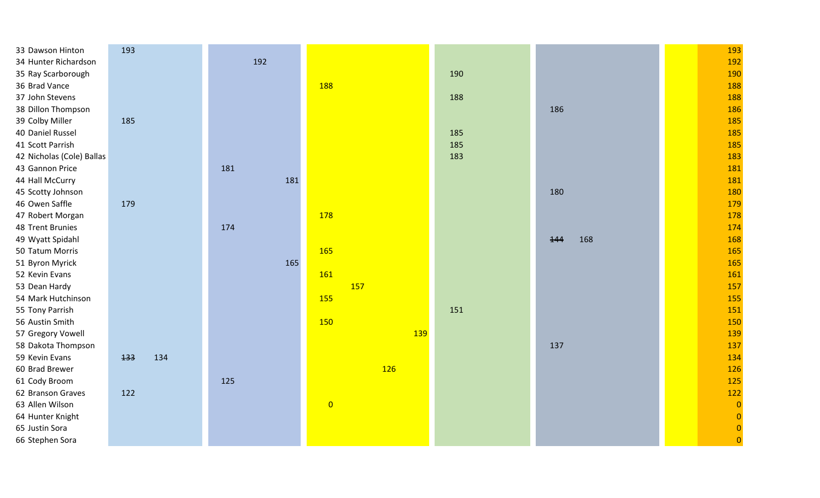| 33 Dawson Hinton          | 193        |     |                |     |            | 193            |
|---------------------------|------------|-----|----------------|-----|------------|----------------|
| 34 Hunter Richardson      |            | 192 |                |     |            | 192            |
| 35 Ray Scarborough        |            |     |                | 190 |            | 190            |
| 36 Brad Vance             |            |     | 188            |     |            | 188            |
| 37 John Stevens           |            |     |                | 188 |            | 188            |
| 38 Dillon Thompson        |            |     |                |     | 186        | 186            |
| 39 Colby Miller           | 185        |     |                |     |            | 185            |
| 40 Daniel Russel          |            |     |                | 185 |            | 185            |
| 41 Scott Parrish          |            |     |                | 185 |            | 185            |
| 42 Nicholas (Cole) Ballas |            |     |                | 183 |            | 183            |
| 43 Gannon Price           |            | 181 |                |     |            | 181            |
| 44 Hall McCurry           |            | 181 |                |     |            | 181            |
| 45 Scotty Johnson         |            |     |                |     | 180        | 180            |
| 46 Owen Saffle            | 179        |     |                |     |            | 179            |
| 47 Robert Morgan          |            |     | 178            |     |            | 178            |
| 48 Trent Brunies          |            | 174 |                |     |            | 174            |
| 49 Wyatt Spidahl          |            |     |                |     | 168<br>144 | 168            |
| 50 Tatum Morris           |            |     | 165            |     |            | 165            |
| 51 Byron Myrick           |            | 165 |                |     |            | 165            |
| 52 Kevin Evans            |            |     | <b>161</b>     |     |            | 161            |
| 53 Dean Hardy             |            |     | <b>157</b>     |     |            | 157            |
| 54 Mark Hutchinson        |            |     | 155            |     |            | 155            |
| 55 Tony Parrish           |            |     |                | 151 |            | 151            |
| 56 Austin Smith           |            |     | 150            |     |            | 150            |
| 57 Gregory Vowell         |            |     | <b>139</b>     |     |            | 139            |
| 58 Dakota Thompson        |            |     |                |     | 137        | 137            |
| 59 Kevin Evans            | 133<br>134 |     |                |     |            | 134            |
| 60 Brad Brewer            |            |     | 126            |     |            | 126            |
| 61 Cody Broom             |            | 125 |                |     |            | 125            |
| 62 Branson Graves         | 122        |     |                |     |            | 122            |
| 63 Allen Wilson           |            |     | $\overline{0}$ |     |            | $\overline{0}$ |
| 64 Hunter Knight          |            |     |                |     |            | $\overline{0}$ |
| 65 Justin Sora            |            |     |                |     |            | $\overline{0}$ |
| 66 Stephen Sora           |            |     |                |     |            | $\overline{0}$ |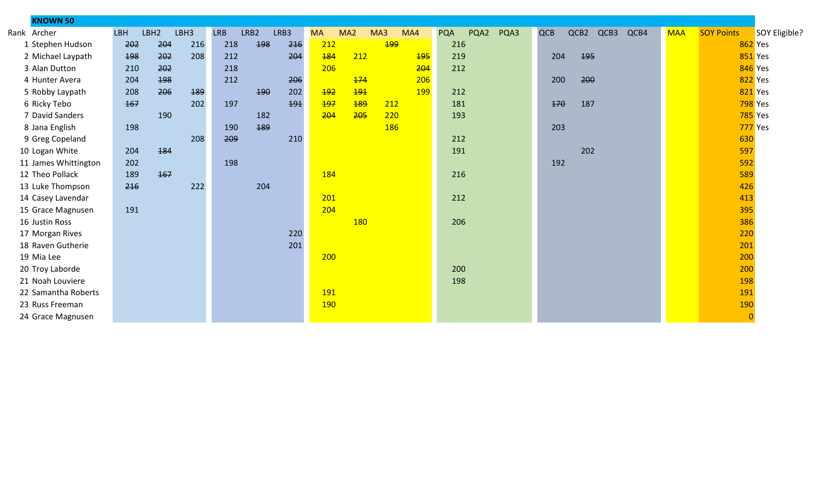| <b>KNOWN 50</b>      |            |                  |      |            |      |      |            |                 |     |            |            |      |      |            |      |      |      |            |                   |                |
|----------------------|------------|------------------|------|------------|------|------|------------|-----------------|-----|------------|------------|------|------|------------|------|------|------|------------|-------------------|----------------|
| Rank Archer          | <b>LBH</b> | LBH <sub>2</sub> | LBH3 | <b>LRB</b> | LRB2 | LRB3 | <b>MA</b>  | MA <sub>2</sub> | MA3 | MA4        | <b>PQA</b> | PQA2 | PQA3 | <b>QCB</b> | QCB2 | QCB3 | QCB4 | <b>MAA</b> | <b>SOY Points</b> | SOY Eligible?  |
| 1 Stephen Hudson     | 202        | 204              | 216  | 218        | 198  | 216  | 212        |                 | 199 |            | 216        |      |      |            |      |      |      |            | <b>862 Yes</b>    |                |
| 2 Michael Laypath    | 198        | 202              | 208  | 212        |      | 204  | <b>184</b> | 212             |     | <b>195</b> | 219        |      |      | 204        |      | 195  |      |            |                   | <b>851</b> Yes |
| 3 Alan Dutton        | 210        | 202              |      | 218        |      |      | 206        |                 |     | 204        | 212        |      |      |            |      |      |      |            | <b>846</b> Yes    |                |
| 4 Hunter Avera       | 204        | 198              |      | 212        |      | 206  |            | 174             |     | 206        |            |      |      | 200        |      | 200  |      |            | 822 Yes           |                |
| 5 Robby Laypath      | 208        | 206              | 189  |            | 190  | 202  | 192        | 191             |     | <b>199</b> | 212        |      |      |            |      |      |      |            | 821 Yes           |                |
| 6 Ricky Tebo         | 167        |                  | 202  | 197        |      | 191  | 197        | 189             | 212 |            | 181        |      |      | 170        |      | 187  |      |            |                   | <b>798</b> Yes |
| 7 David Sanders      |            | 190              |      |            | 182  |      | 204        | 205             | 220 |            | 193        |      |      |            |      |      |      |            |                   | <b>785</b> Yes |
| 8 Jana English       | 198        |                  |      | 190        | 189  |      |            |                 | 186 |            |            |      |      | 203        |      |      |      |            |                   | 777 Yes        |
| 9 Greg Copeland      |            |                  | 208  | 209        |      | 210  |            |                 |     |            | 212        |      |      |            |      |      |      |            | 630               |                |
| 10 Logan White       | 204        | 184              |      |            |      |      |            |                 |     |            | 191        |      |      |            |      | 202  |      |            | 597               |                |
| 11 James Whittington | 202        |                  |      | 198        |      |      |            |                 |     |            |            |      |      | 192        |      |      |      |            | 592               |                |
| 12 Theo Pollack      | 189        | 167              |      |            |      |      | 184        |                 |     |            | 216        |      |      |            |      |      |      |            | 589               |                |
| 13 Luke Thompson     | 216        |                  | 222  |            | 204  |      |            |                 |     |            |            |      |      |            |      |      |      |            | 426               |                |
| 14 Casey Lavendar    |            |                  |      |            |      |      | 201        |                 |     |            | 212        |      |      |            |      |      |      |            | 413               |                |
| 15 Grace Magnusen    | 191        |                  |      |            |      |      | 204        |                 |     |            |            |      |      |            |      |      |      |            | 395               |                |
| 16 Justin Ross       |            |                  |      |            |      |      |            | <b>180</b>      |     |            | 206        |      |      |            |      |      |      |            | 386               |                |
| 17 Morgan Rives      |            |                  |      |            |      | 220  |            |                 |     |            |            |      |      |            |      |      |      |            | 220               |                |
| 18 Raven Gutherie    |            |                  |      |            |      | 201  |            |                 |     |            |            |      |      |            |      |      |      |            | 201               |                |
| 19 Mia Lee           |            |                  |      |            |      |      | 200        |                 |     |            |            |      |      |            |      |      |      |            | 200               |                |
| 20 Troy Laborde      |            |                  |      |            |      |      |            |                 |     |            | 200        |      |      |            |      |      |      |            | 200               |                |
| 21 Noah Louviere     |            |                  |      |            |      |      |            |                 |     |            | 198        |      |      |            |      |      |      |            | 198               |                |
| 22 Samantha Roberts  |            |                  |      |            |      |      | 191        |                 |     |            |            |      |      |            |      |      |      |            | 191               |                |
| 23 Russ Freeman      |            |                  |      |            |      |      | <b>190</b> |                 |     |            |            |      |      |            |      |      |      |            | 190               |                |
| 24 Grace Magnusen    |            |                  |      |            |      |      |            |                 |     |            |            |      |      |            |      |      |      |            | $\overline{0}$    |                |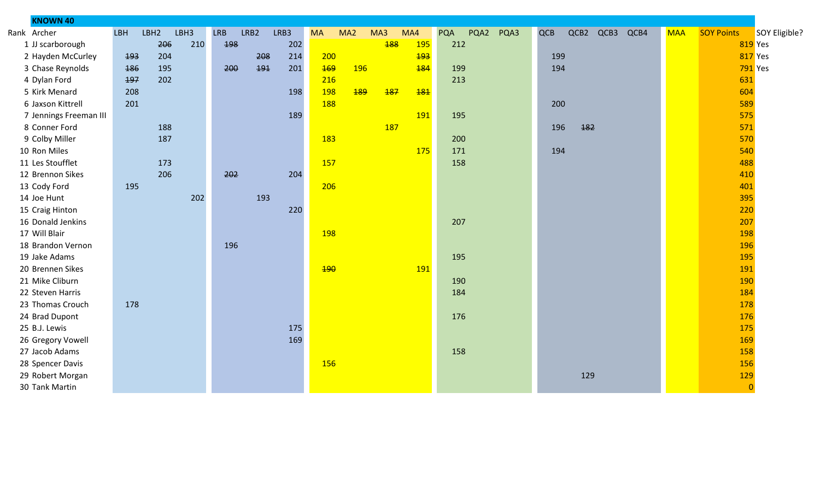| <b>KNOWN 40</b>        |            |      |      |            |      |      |            |                 |            |            |                    |      |     |     |           |      |            |                   |                |
|------------------------|------------|------|------|------------|------|------|------------|-----------------|------------|------------|--------------------|------|-----|-----|-----------|------|------------|-------------------|----------------|
| Rank Archer            | <b>LBH</b> | LBH2 | LBH3 | <b>LRB</b> | LRB2 | LRB3 | <b>MA</b>  | MA <sub>2</sub> | MA3        | MA4        | <b>PQA</b><br>PQA2 | PQA3 | QCB |     | QCB2 QCB3 | QCB4 | <b>MAA</b> | <b>SOY Points</b> | SOY Eligible?  |
| 1 JJ scarborough       |            | 206  | 210  | 198        |      | 202  |            |                 | <b>188</b> | <b>195</b> | 212                |      |     |     |           |      |            |                   | 819 Yes        |
| 2 Hayden McCurley      | 193        | 204  |      |            | 208  | 214  | 200        |                 |            | 193        |                    |      | 199 |     |           |      |            |                   | 817 Yes        |
| 3 Chase Reynolds       | 186        | 195  |      | 200        | 191  | 201  | <b>169</b> | <b>196</b>      |            | 184        | 199                |      | 194 |     |           |      |            |                   | <b>791</b> Yes |
| 4 Dylan Ford           | 197        | 202  |      |            |      |      | 216        |                 |            |            | 213                |      |     |     |           |      |            | 631               |                |
| 5 Kirk Menard          | 208        |      |      |            |      | 198  | 198        | 189             | 187        | <b>181</b> |                    |      |     |     |           |      |            | 604               |                |
| 6 Jaxson Kittrell      | 201        |      |      |            |      |      | 188        |                 |            |            |                    |      | 200 |     |           |      |            | 589               |                |
| 7 Jennings Freeman III |            |      |      |            |      | 189  |            |                 |            | 191        | 195                |      |     |     |           |      |            | 575               |                |
| 8 Conner Ford          |            | 188  |      |            |      |      |            |                 | <b>187</b> |            |                    |      | 196 | 182 |           |      |            | 571               |                |
| 9 Colby Miller         |            | 187  |      |            |      |      | 183        |                 |            |            | 200                |      |     |     |           |      |            | 570               |                |
| 10 Ron Miles           |            |      |      |            |      |      |            |                 |            | 175        | 171                |      | 194 |     |           |      |            | 540               |                |
| 11 Les Stoufflet       |            | 173  |      |            |      |      | 157        |                 |            |            | 158                |      |     |     |           |      |            | 488               |                |
| 12 Brennon Sikes       |            | 206  |      | 202        |      | 204  |            |                 |            |            |                    |      |     |     |           |      |            | 410               |                |
| 13 Cody Ford           | 195        |      |      |            |      |      | 206        |                 |            |            |                    |      |     |     |           |      |            | 401               |                |
| 14 Joe Hunt            |            |      | 202  |            | 193  |      |            |                 |            |            |                    |      |     |     |           |      |            | 395               |                |
| 15 Craig Hinton        |            |      |      |            |      | 220  |            |                 |            |            |                    |      |     |     |           |      |            | 220               |                |
| 16 Donald Jenkins      |            |      |      |            |      |      |            |                 |            |            | 207                |      |     |     |           |      |            | 207               |                |
| 17 Will Blair          |            |      |      |            |      |      | 198        |                 |            |            |                    |      |     |     |           |      |            | 198               |                |
| 18 Brandon Vernon      |            |      |      | 196        |      |      |            |                 |            |            |                    |      |     |     |           |      |            | 196               |                |
| 19 Jake Adams          |            |      |      |            |      |      |            |                 |            |            | 195                |      |     |     |           |      |            | 195               |                |
| 20 Brennen Sikes       |            |      |      |            |      |      | 190        |                 |            | <b>191</b> |                    |      |     |     |           |      |            | 191               |                |
| 21 Mike Cliburn        |            |      |      |            |      |      |            |                 |            |            | 190                |      |     |     |           |      |            | 190               |                |
| 22 Steven Harris       |            |      |      |            |      |      |            |                 |            |            | 184                |      |     |     |           |      |            | 184               |                |
| 23 Thomas Crouch       | 178        |      |      |            |      |      |            |                 |            |            |                    |      |     |     |           |      |            | 178               |                |
| 24 Brad Dupont         |            |      |      |            |      |      |            |                 |            |            | 176                |      |     |     |           |      |            | 176               |                |
| 25 B.J. Lewis          |            |      |      |            |      | 175  |            |                 |            |            |                    |      |     |     |           |      |            | 175               |                |
| 26 Gregory Vowell      |            |      |      |            |      | 169  |            |                 |            |            |                    |      |     |     |           |      |            | 169               |                |
| 27 Jacob Adams         |            |      |      |            |      |      |            |                 |            |            | 158                |      |     |     |           |      |            | 158               |                |
| 28 Spencer Davis       |            |      |      |            |      |      | 156        |                 |            |            |                    |      |     |     |           |      |            | 156               |                |
| 29 Robert Morgan       |            |      |      |            |      |      |            |                 |            |            |                    |      |     | 129 |           |      |            | 129               |                |
| 30 Tank Martin         |            |      |      |            |      |      |            |                 |            |            |                    |      |     |     |           |      |            | $\overline{0}$    |                |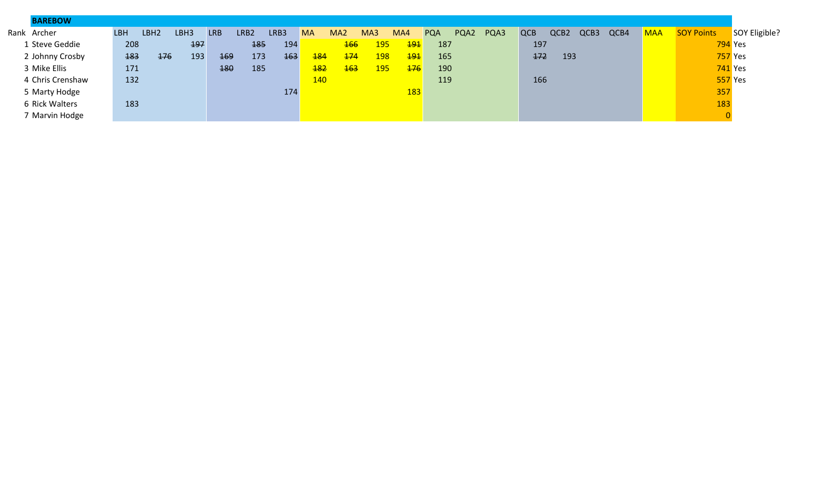| <b>BAREBOW</b>   |            |                  |      |            |      |            |            |                 |            |            |            |      |      |            |                  |      |      |            |                   |               |
|------------------|------------|------------------|------|------------|------|------------|------------|-----------------|------------|------------|------------|------|------|------------|------------------|------|------|------------|-------------------|---------------|
| Rank Archer      | <b>LBH</b> | LBH <sub>2</sub> | LBH3 | <b>LRB</b> | LRB2 | LRB3       | <b>MA</b>  | MA <sub>2</sub> | MA3        | MA4        | <b>PQA</b> | PQA2 | PQA3 | <b>QCB</b> | QCB <sub>2</sub> | QCB3 | QCB4 | <b>MAA</b> | <b>SOY Points</b> | SOY Eligible? |
| 1 Steve Geddie   | 208        |                  | 197  |            | 185  | 194        |            | <b>166</b>      | <b>195</b> | 191        | 187        |      |      | 197        |                  |      |      |            | <b>794</b> Yes    |               |
| 2 Johnny Crosby  | 183        | 176              | 193  | <b>169</b> | 173  | <b>163</b> | <b>184</b> | 174             | <b>198</b> | 191        | 165        |      |      | 172        | 193              |      |      |            | <b>757 Yes</b>    |               |
| 3 Mike Ellis     | 171        |                  |      | 180        | 185  |            | <b>182</b> | <b>163</b>      | <b>195</b> | 176        | 190        |      |      |            |                  |      |      |            | <b>741</b> Yes    |               |
| 4 Chris Crenshaw | 132        |                  |      |            |      |            | 140        |                 |            |            | 119        |      |      | 166        |                  |      |      |            | <b>557 Yes</b>    |               |
| 5 Marty Hodge    |            |                  |      |            |      | 174        |            |                 |            | <b>183</b> |            |      |      |            |                  |      |      |            | 357               |               |
| 6 Rick Walters   | 183        |                  |      |            |      |            |            |                 |            |            |            |      |      |            |                  |      |      |            | 183               |               |
| 7 Marvin Hodge   |            |                  |      |            |      |            |            |                 |            |            |            |      |      |            |                  |      |      |            |                   |               |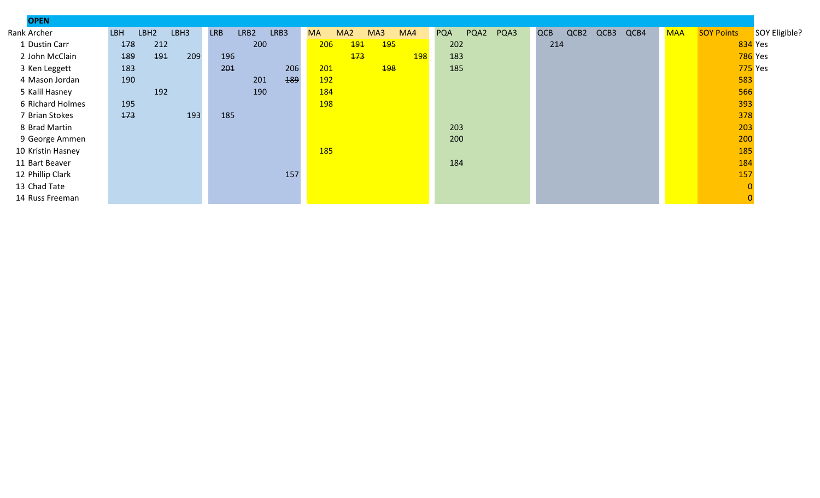| <b>OPEN</b>       |                                        |                            |                                            |                            |                                    |                                                  |
|-------------------|----------------------------------------|----------------------------|--------------------------------------------|----------------------------|------------------------------------|--------------------------------------------------|
| Rank Archer       | LBH <sub>2</sub><br>LBH3<br><b>LBH</b> | <b>LRB</b><br>LRB2<br>LRB3 | <b>MA</b><br>MA <sub>2</sub><br>MA3<br>MA4 | PQA2<br>PQA3<br><b>PQA</b> | <b>QCB</b><br>QCB4<br>QCB2<br>QCB3 | <b>SOY Points</b><br><b>MAA</b><br>SOY Eligible? |
| 1 Dustin Carr     | 212<br>178                             | 200                        | 206<br>191<br><b>195</b>                   | 202                        | 214                                | 834 Yes                                          |
| 2 John McClain    | 494<br>189<br>209                      | 196                        | $173$<br><b>198</b>                        | 183                        |                                    | <b>786</b> Yes                                   |
| 3 Ken Leggett     | 183                                    | 201<br>206                 | 201<br><b>198</b>                          | 185                        |                                    | 775 Yes                                          |
| 4 Mason Jordan    | 190                                    | 189<br>201                 | <b>192</b>                                 |                            |                                    | 583                                              |
| 5 Kalil Hasney    | 192                                    | 190                        | 184                                        |                            |                                    | 566                                              |
| 6 Richard Holmes  | 195                                    |                            | 198                                        |                            |                                    | 393                                              |
| 7 Brian Stokes    | 173<br>193                             | 185                        |                                            |                            |                                    | 378                                              |
| 8 Brad Martin     |                                        |                            |                                            | 203                        |                                    | 203                                              |
| 9 George Ammen    |                                        |                            |                                            | 200                        |                                    | 200                                              |
| 10 Kristin Hasney |                                        |                            | 185                                        |                            |                                    | 185                                              |
| 11 Bart Beaver    |                                        |                            |                                            | 184                        |                                    | 184                                              |
| 12 Phillip Clark  |                                        | 157                        |                                            |                            |                                    | 157                                              |
| 13 Chad Tate      |                                        |                            |                                            |                            |                                    |                                                  |
| 14 Russ Freeman   |                                        |                            |                                            |                            |                                    |                                                  |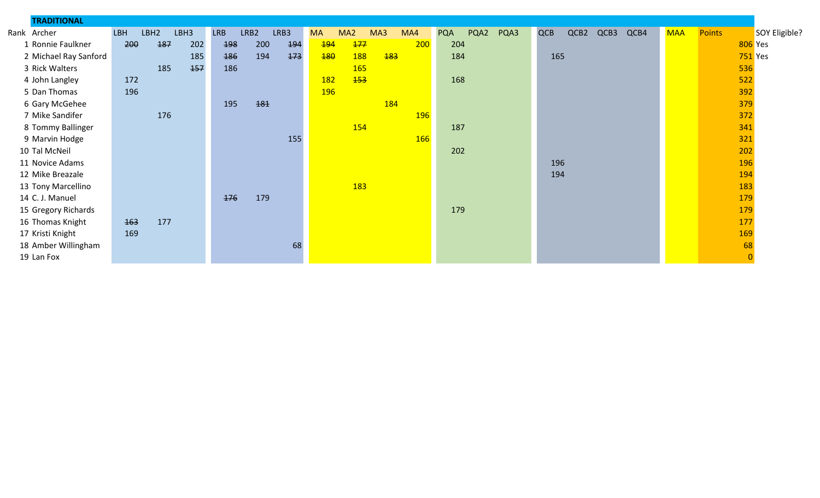| <b>TRADITIONAL</b>    |            |                  |      |            |      |      |            |                 |            |            |            |      |      |            |      |      |      |            |               |                |                |
|-----------------------|------------|------------------|------|------------|------|------|------------|-----------------|------------|------------|------------|------|------|------------|------|------|------|------------|---------------|----------------|----------------|
| Rank Archer           | <b>LBH</b> | LBH <sub>2</sub> | LBH3 | <b>LRB</b> | LRB2 | LRB3 | <b>MA</b>  | MA <sub>2</sub> | MA3        | MA4        | <b>PQA</b> | PQA2 | PQA3 | <b>QCB</b> | QCB2 | QCB3 | QCB4 | <b>MAA</b> | <b>Points</b> |                | SOY Eligible?  |
| 1 Ronnie Faulkner     | 200        | 187              | 202  | 198        | 200  | 194  | 194        | 177             |            | 200        | 204        |      |      |            |      |      |      |            |               |                | <b>806</b> Yes |
| 2 Michael Ray Sanford |            |                  | 185  | 186        | 194  | 173  | 180        | 188             | <b>183</b> |            | 184        |      |      | 165        |      |      |      |            |               |                | $751$ Yes      |
| 3 Rick Walters        |            | 185              | 157  | 186        |      |      |            | <b>165</b>      |            |            |            |      |      |            |      |      |      |            |               | 536            |                |
| 4 John Langley        | 172        |                  |      |            |      |      | <b>182</b> | <b>153</b>      |            |            | 168        |      |      |            |      |      |      |            |               | 522            |                |
| 5 Dan Thomas          | 196        |                  |      |            |      |      | 196        |                 |            |            |            |      |      |            |      |      |      |            |               | 392            |                |
| 6 Gary McGehee        |            |                  |      | 195        | 181  |      |            |                 | 184        |            |            |      |      |            |      |      |      |            |               | 379            |                |
| 7 Mike Sandifer       |            | 176              |      |            |      |      |            |                 |            | <b>196</b> |            |      |      |            |      |      |      |            |               | 372            |                |
| 8 Tommy Ballinger     |            |                  |      |            |      |      |            | 154             |            |            | 187        |      |      |            |      |      |      |            |               | 341            |                |
| 9 Marvin Hodge        |            |                  |      |            |      | 155  |            |                 |            | <b>166</b> |            |      |      |            |      |      |      |            |               | 321            |                |
| 10 Tal McNeil         |            |                  |      |            |      |      |            |                 |            |            | 202        |      |      |            |      |      |      |            |               | 202            |                |
| 11 Novice Adams       |            |                  |      |            |      |      |            |                 |            |            |            |      |      | 196        |      |      |      |            |               | 196            |                |
| 12 Mike Breazale      |            |                  |      |            |      |      |            |                 |            |            |            |      |      | 194        |      |      |      |            |               | 194            |                |
| 13 Tony Marcellino    |            |                  |      |            |      |      |            | 183             |            |            |            |      |      |            |      |      |      |            |               | 183            |                |
| 14 C. J. Manuel       |            |                  |      | 176        | 179  |      |            |                 |            |            |            |      |      |            |      |      |      |            |               | 179            |                |
| 15 Gregory Richards   |            |                  |      |            |      |      |            |                 |            |            | 179        |      |      |            |      |      |      |            |               | 179            |                |
| 16 Thomas Knight      | 463        | 177              |      |            |      |      |            |                 |            |            |            |      |      |            |      |      |      |            |               | 177            |                |
| 17 Kristi Knight      | 169        |                  |      |            |      |      |            |                 |            |            |            |      |      |            |      |      |      |            |               | 169            |                |
| 18 Amber Willingham   |            |                  |      |            |      | 68   |            |                 |            |            |            |      |      |            |      |      |      |            |               | 68             |                |
| 19 Lan Fox            |            |                  |      |            |      |      |            |                 |            |            |            |      |      |            |      |      |      |            |               | $\overline{0}$ |                |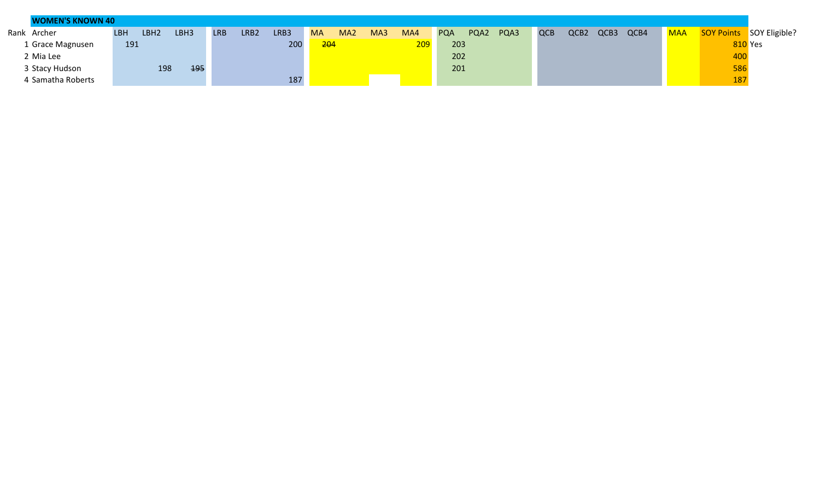|             | <b>WOMEN'S KNOWN 40</b> |            |                  |      |            |      |      |           |                 |     |     |            |      |      |     |                  |      |      |            |                |                          |
|-------------|-------------------------|------------|------------------|------|------------|------|------|-----------|-----------------|-----|-----|------------|------|------|-----|------------------|------|------|------------|----------------|--------------------------|
| Rank Archer |                         | <b>LBH</b> | LBH <sub>2</sub> | LBH3 | <b>LRB</b> | LRB2 | LRB3 | <b>MA</b> | MA <sub>2</sub> | MA3 | MA4 | <b>PQA</b> | PQA2 | PQA3 | QCB | QCB <sub>2</sub> | QCB3 | QCB4 | <b>MAA</b> |                | SOY Points SOY Eligible? |
|             | 1 Grace Magnusen        | 191        |                  |      |            |      | 200  | 204       |                 |     | 209 | 203        |      |      |     |                  |      |      |            | <b>810 Yes</b> |                          |
|             | 2 Mia Lee               |            |                  |      |            |      |      |           |                 |     |     | 202        |      |      |     |                  |      |      |            | 400            |                          |
|             | 3 Stacy Hudson          |            | 198              | 195  |            |      |      |           |                 |     |     | 201        |      |      |     |                  |      |      |            | 586            |                          |
|             | 4 Samatha Roberts       |            |                  |      |            |      | 187  |           |                 |     |     |            |      |      |     |                  |      |      |            | 187            |                          |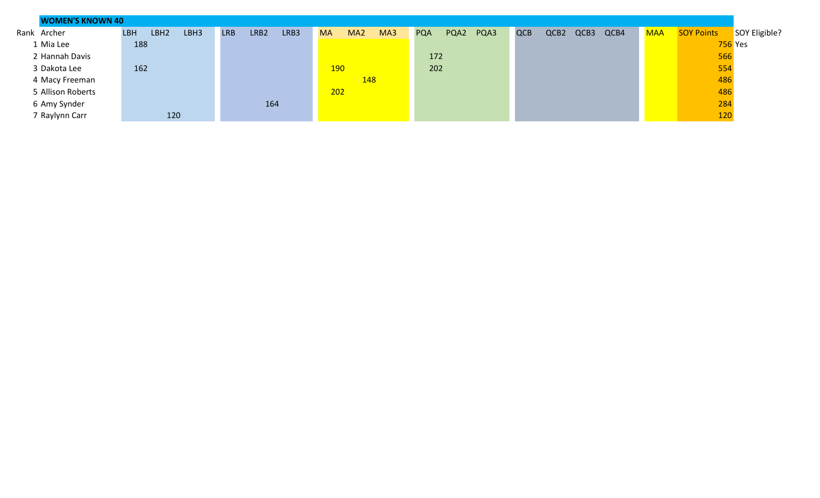| <b>WOMEN'S KNOWN 40</b> |                                        |                                        |                                     |                            |                                    |                                                  |
|-------------------------|----------------------------------------|----------------------------------------|-------------------------------------|----------------------------|------------------------------------|--------------------------------------------------|
| Rank Archer             | LBH <sub>2</sub><br>LBH3<br><b>LBH</b> | LRB <sub>2</sub><br>LRB3<br><b>LRB</b> | MA3<br><b>MA</b><br>MA <sub>2</sub> | PQA3<br>PQA2<br><b>PQA</b> | QCB4<br>QCB2<br>QCB3<br><b>QCB</b> | <b>SOY Points</b><br>SOY Eligible?<br><b>MAA</b> |
| 1 Mia Lee               | 188                                    |                                        |                                     |                            |                                    | <b>756</b> Yes                                   |
| 2 Hannah Davis          |                                        |                                        |                                     | 172                        |                                    | 566                                              |
| 3 Dakota Lee            | 162                                    |                                        | <b>190</b>                          | 202                        |                                    | 554                                              |
| 4 Macy Freeman          |                                        |                                        | 148                                 |                            |                                    | 486                                              |
| 5 Allison Roberts       |                                        |                                        | 202                                 |                            |                                    | 486                                              |
| 6 Amy Synder            |                                        | 164                                    |                                     |                            |                                    | 284                                              |
| 7 Raylynn Carr          | 120                                    |                                        |                                     |                            |                                    | 120                                              |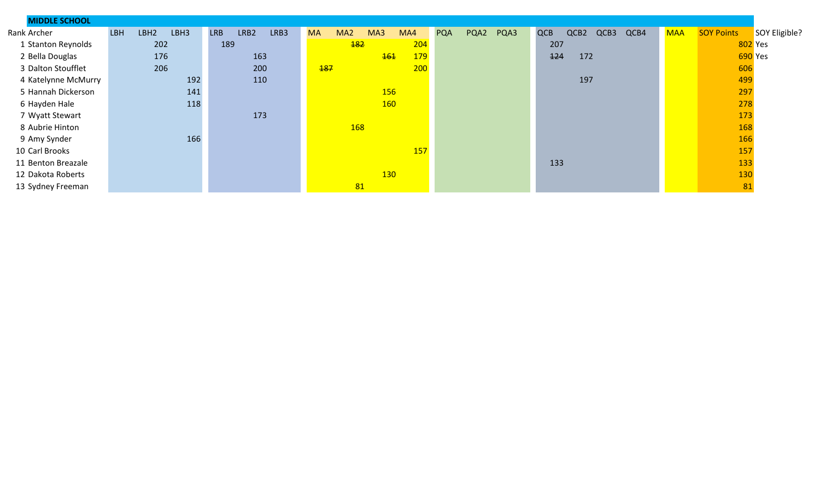| <b>MIDDLE SCHOOL</b> |                                        |                            |                                            |                                                                  |                                           |
|----------------------|----------------------------------------|----------------------------|--------------------------------------------|------------------------------------------------------------------|-------------------------------------------|
| Rank Archer          | LBH <sub>2</sub><br>LBH3<br><b>LBH</b> | LRB2<br>LRB3<br><b>LRB</b> | <b>MA</b><br>MA <sub>2</sub><br>MA3<br>MA4 | <b>QCB</b><br>QCB2<br>PQA2<br>PQA3<br>QCB3<br>QCB4<br><b>PQA</b> | SOY Points<br>SOY Eligible?<br><b>MAA</b> |
| 1 Stanton Reynolds   | 202                                    | 189                        | 204<br><b>182</b>                          | 207                                                              | 802 Yes                                   |
| 2 Bella Douglas      | 176                                    | 163                        | <b>179</b><br><b>161</b>                   | 124<br>172                                                       | 690 Yes                                   |
| 3 Dalton Stoufflet   | 206                                    | 200                        | <b>187</b><br>200                          |                                                                  | 606                                       |
| 4 Katelynne McMurry  | 192                                    | 110                        |                                            | 197                                                              | 499                                       |
| 5 Hannah Dickerson   | 141                                    |                            | 156                                        |                                                                  | 297                                       |
| 6 Hayden Hale        | 118                                    |                            | <b>160</b>                                 |                                                                  | 278                                       |
| 7 Wyatt Stewart      |                                        | 173                        |                                            |                                                                  | 173                                       |
| 8 Aubrie Hinton      |                                        |                            | 168                                        |                                                                  | 168                                       |
| 9 Amy Synder         | 166                                    |                            |                                            |                                                                  | 166                                       |
| 10 Carl Brooks       |                                        |                            | 157                                        |                                                                  | 157                                       |
| 11 Benton Breazale   |                                        |                            |                                            | 133                                                              | 133                                       |
| 12 Dakota Roberts    |                                        |                            | 130                                        |                                                                  | 130                                       |
| 13 Sydney Freeman    |                                        |                            | 81                                         |                                                                  | 81                                        |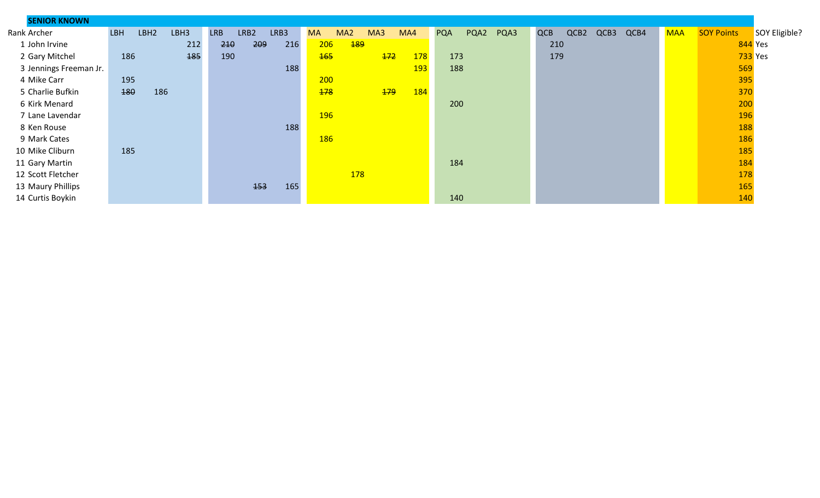| <b>SENIOR KNOWN</b>    |                                        |                            |                                            |                            |                                    |                                                  |
|------------------------|----------------------------------------|----------------------------|--------------------------------------------|----------------------------|------------------------------------|--------------------------------------------------|
| Rank Archer            | LBH <sub>2</sub><br>LBH3<br><b>LBH</b> | <b>LRB</b><br>LRB2<br>LRB3 | MA <sub>2</sub><br>MA3<br>MA4<br><b>MA</b> | <b>PQA</b><br>PQA2<br>PQA3 | <b>QCB</b><br>QCB2<br>QCB3<br>QCB4 | <b>SOY Points</b><br><b>MAA</b><br>SOY Eligible? |
| 1 John Irvine          | 212                                    | 209<br>210<br>216          | 189<br>206                                 |                            | 210                                | 844 Yes                                          |
| 2 Gary Mitchel         | 186<br><b>185</b>                      | 190                        | <b>165</b><br><b>178</b><br>$+72$          | 173                        | 179                                | <b>733</b> Yes                                   |
| 3 Jennings Freeman Jr. |                                        | 188                        | <b>193</b>                                 | 188                        |                                    | 569                                              |
| 4 Mike Carr            | 195                                    |                            | 200                                        |                            |                                    | 395                                              |
| 5 Charlie Bufkin       | 180<br>186                             |                            | 178<br>179<br><b>184</b>                   |                            |                                    | 370                                              |
| 6 Kirk Menard          |                                        |                            |                                            | 200                        |                                    | 200                                              |
| 7 Lane Lavendar        |                                        |                            | <b>196</b>                                 |                            |                                    | 196                                              |
| 8 Ken Rouse            |                                        | 188                        |                                            |                            |                                    | 188                                              |
| 9 Mark Cates           |                                        |                            | <b>186</b>                                 |                            |                                    | 186                                              |
| 10 Mike Cliburn        | 185                                    |                            |                                            |                            |                                    | 185                                              |
| 11 Gary Martin         |                                        |                            |                                            | 184                        |                                    | 184                                              |
| 12 Scott Fletcher      |                                        |                            | 178                                        |                            |                                    | 178                                              |
| 13 Maury Phillips      |                                        | <b>153</b><br>165          |                                            |                            |                                    | 165                                              |
| 14 Curtis Boykin       |                                        |                            |                                            | 140                        |                                    | 140                                              |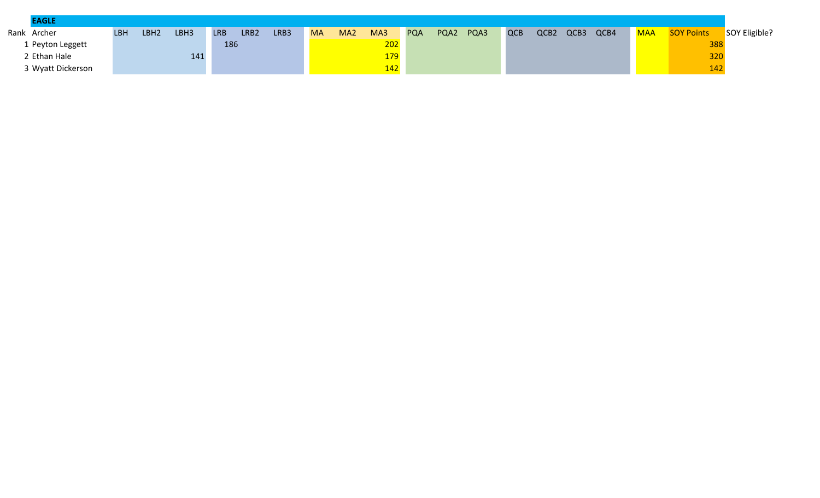| <b>EAGLE</b>      |            |                  |      |            |                  |      |           |                 |     |            |      |      |            |                  |      |      |            |                   |               |
|-------------------|------------|------------------|------|------------|------------------|------|-----------|-----------------|-----|------------|------|------|------------|------------------|------|------|------------|-------------------|---------------|
| Rank Archer       | <b>LBH</b> | LBH <sub>2</sub> | LBH3 | <b>LRB</b> | LRB <sub>2</sub> | LRB3 | <b>MA</b> | MA <sub>2</sub> | MA3 | <b>PQA</b> | PQA2 | PQA3 | <b>QCB</b> | QCB <sub>2</sub> | QCB3 | QCB4 | <b>MAA</b> | <b>SOY Points</b> | SOY Eligible? |
| 1 Peyton Leggett  |            |                  |      | 186        |                  |      |           |                 | 202 |            |      |      |            |                  |      |      |            | 388               |               |
| 2 Ethan Hale      |            |                  | 141  |            |                  |      |           |                 | 179 |            |      |      |            |                  |      |      |            | 320               |               |
| 3 Wyatt Dickerson |            |                  |      |            |                  |      |           |                 | 142 |            |      |      |            |                  |      |      |            | 142               |               |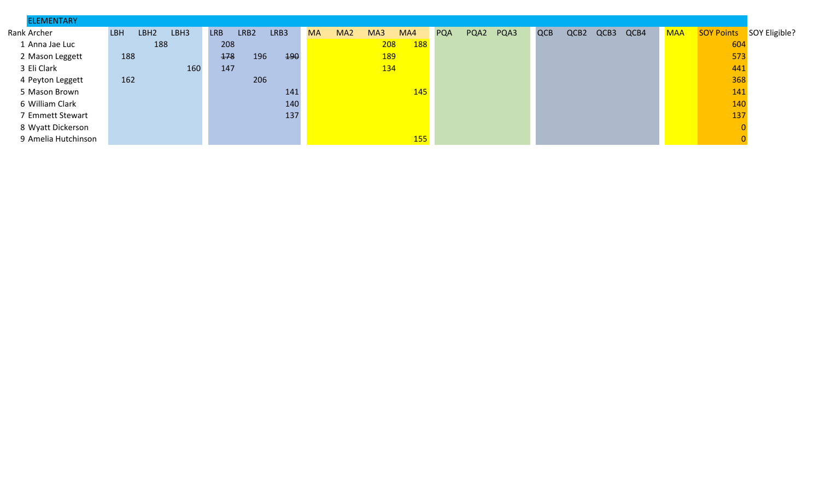| <b>ELEMENTARY</b>   |     |                  |      |            |      |      |           |                 |            |     |            |            |      |      |            |                  |      |      |            |                   |               |
|---------------------|-----|------------------|------|------------|------|------|-----------|-----------------|------------|-----|------------|------------|------|------|------------|------------------|------|------|------------|-------------------|---------------|
| Rank Archer         | LBH | LBH <sub>2</sub> | LBH3 | <b>LRB</b> | LRB2 | LRB3 | <b>MA</b> | MA <sub>2</sub> | MA3        | MA4 |            | <b>PQA</b> | PQA2 | PQA3 | <b>QCB</b> | QCB <sub>2</sub> | QCB3 | QCB4 | <b>MAA</b> | <b>SOY Points</b> | SOY Eligible? |
| 1 Anna Jae Luc      |     | 188              |      | 208        |      |      |           |                 | 208        |     | <b>188</b> |            |      |      |            |                  |      |      |            | 604               |               |
| 2 Mason Leggett     | 188 |                  |      | 178        | 196  | 490  |           |                 | <b>189</b> |     |            |            |      |      |            |                  |      |      |            | 573               |               |
| 3 Eli Clark         |     |                  | 160  | 147        |      |      |           |                 | 134        |     |            |            |      |      |            |                  |      |      |            | 441               |               |
| 4 Peyton Leggett    | 162 |                  |      |            | 206  |      |           |                 |            |     |            |            |      |      |            |                  |      |      |            | 368               |               |
| 5 Mason Brown       |     |                  |      |            |      | 141  |           |                 |            |     | 145        |            |      |      |            |                  |      |      |            | 141               |               |
| 6 William Clark     |     |                  |      |            |      | 140  |           |                 |            |     |            |            |      |      |            |                  |      |      |            | 140               |               |
| 7 Emmett Stewart    |     |                  |      |            |      | 137  |           |                 |            |     |            |            |      |      |            |                  |      |      |            | 137               |               |
| 8 Wyatt Dickerson   |     |                  |      |            |      |      |           |                 |            |     |            |            |      |      |            |                  |      |      |            |                   |               |
| 9 Amelia Hutchinson |     |                  |      |            |      |      |           |                 |            |     | <b>155</b> |            |      |      |            |                  |      |      |            |                   |               |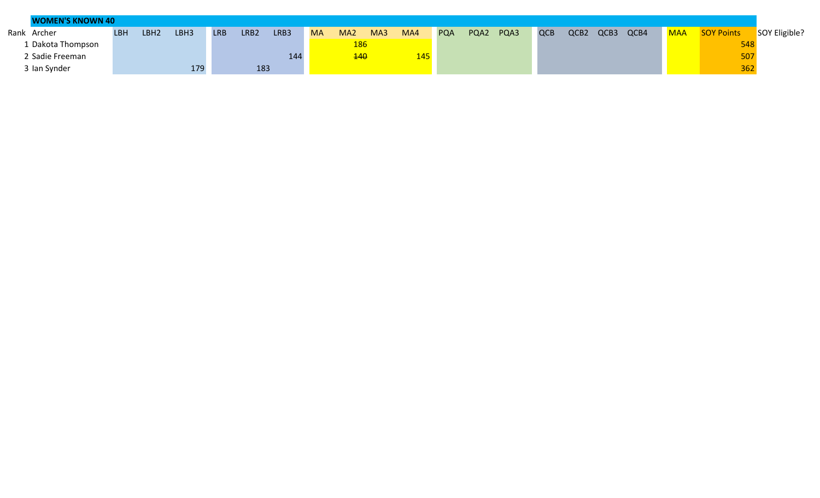| <b>WOMEN'S KNOWN 40</b> |            |                  |      |            |      |      |           |                 |     |     |            |      |      |            |      |      |      |            |                   |               |
|-------------------------|------------|------------------|------|------------|------|------|-----------|-----------------|-----|-----|------------|------|------|------------|------|------|------|------------|-------------------|---------------|
| Rank Archer             | <b>LBH</b> | LBH <sub>2</sub> | LBH3 | <b>LRB</b> | LRB2 | LRB3 | <b>MA</b> | MA <sub>2</sub> | MA3 | MA4 | <b>PQA</b> | PQA2 | PQA3 | <b>QCB</b> | QCB2 | QCB3 | QCB4 | <b>MAA</b> | <b>SOY Points</b> | SOY Eligible? |
| L Dakota Thompson       |            |                  |      |            |      |      |           | <b>186</b>      |     |     |            |      |      |            |      |      |      |            | 548               |               |
| 2 Sadie Freeman         |            |                  |      |            |      | 144  |           | 140             |     | 145 |            |      |      |            |      |      |      |            | 507               |               |
| 3 Ian Synder            |            |                  | 179  |            | 183  |      |           |                 |     |     |            |      |      |            |      |      |      |            | 362               |               |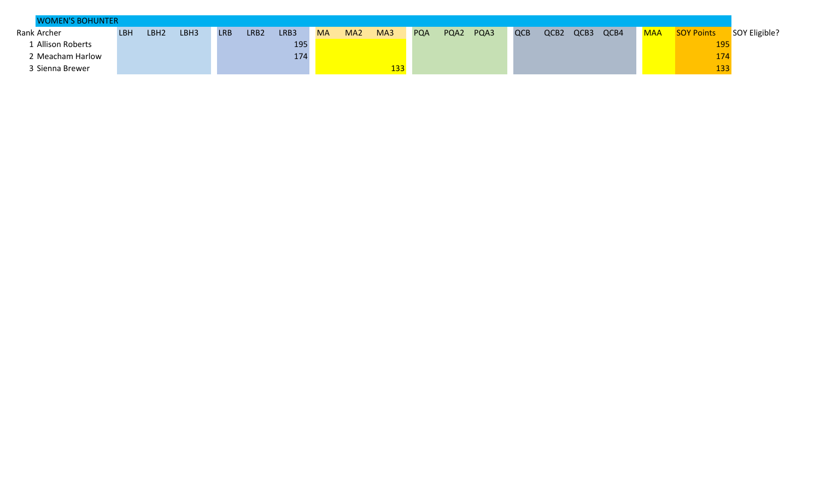| <b>WOMEN'S BOHUNTER</b> |     |      |      |     |                  |      |           |                 |     |            |      |      |            |                  |      |      |            |                   |               |
|-------------------------|-----|------|------|-----|------------------|------|-----------|-----------------|-----|------------|------|------|------------|------------------|------|------|------------|-------------------|---------------|
| Rank Archer             | LBH | LBH2 | LBH3 | LRB | LRB <sub>2</sub> | LRB3 | <b>MA</b> | MA <sub>2</sub> | MA3 | <b>PQA</b> | PQA2 | PQA3 | <b>QCB</b> | QCB <sub>2</sub> | QCB3 | QCB4 | <b>MAA</b> | <b>SOY Points</b> | SOY Eligible? |
| <b>Allison Roberts</b>  |     |      |      |     |                  | 195  |           |                 |     |            |      |      |            |                  |      |      |            | 195               |               |
| 2 Meacham Harlow        |     |      |      |     |                  | 174  |           |                 |     |            |      |      |            |                  |      |      |            | 174               |               |
| 3 Sienna Brewer         |     |      |      |     |                  |      |           |                 | 133 |            |      |      |            |                  |      |      |            | 133               |               |